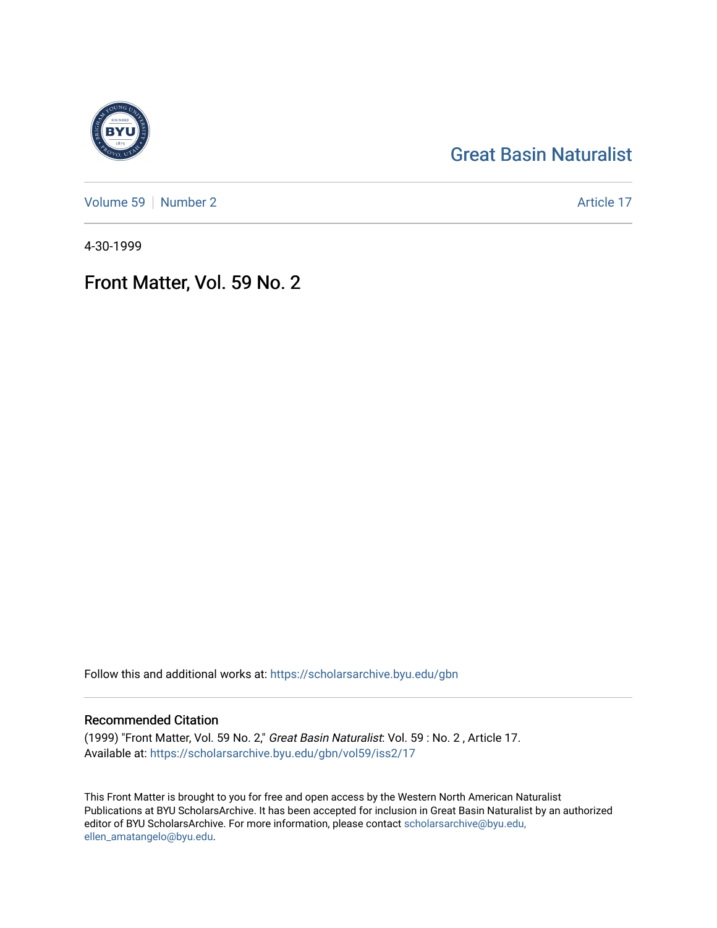# [Great Basin Naturalist](https://scholarsarchive.byu.edu/gbn)

[Volume 59](https://scholarsarchive.byu.edu/gbn/vol59) | [Number 2](https://scholarsarchive.byu.edu/gbn/vol59/iss2) Article 17

4-30-1999

# Front Matter, Vol. 59 No. 2

Follow this and additional works at: [https://scholarsarchive.byu.edu/gbn](https://scholarsarchive.byu.edu/gbn?utm_source=scholarsarchive.byu.edu%2Fgbn%2Fvol59%2Fiss2%2F17&utm_medium=PDF&utm_campaign=PDFCoverPages) 

### Recommended Citation

(1999) "Front Matter, Vol. 59 No. 2," Great Basin Naturalist: Vol. 59 : No. 2 , Article 17. Available at: [https://scholarsarchive.byu.edu/gbn/vol59/iss2/17](https://scholarsarchive.byu.edu/gbn/vol59/iss2/17?utm_source=scholarsarchive.byu.edu%2Fgbn%2Fvol59%2Fiss2%2F17&utm_medium=PDF&utm_campaign=PDFCoverPages) 

This Front Matter is brought to you for free and open access by the Western North American Naturalist Publications at BYU ScholarsArchive. It has been accepted for inclusion in Great Basin Naturalist by an authorized editor of BYU ScholarsArchive. For more information, please contact [scholarsarchive@byu.edu,](mailto:scholarsarchive@byu.edu,%20ellen_amatangelo@byu.edu) [ellen\\_amatangelo@byu.edu](mailto:scholarsarchive@byu.edu,%20ellen_amatangelo@byu.edu).

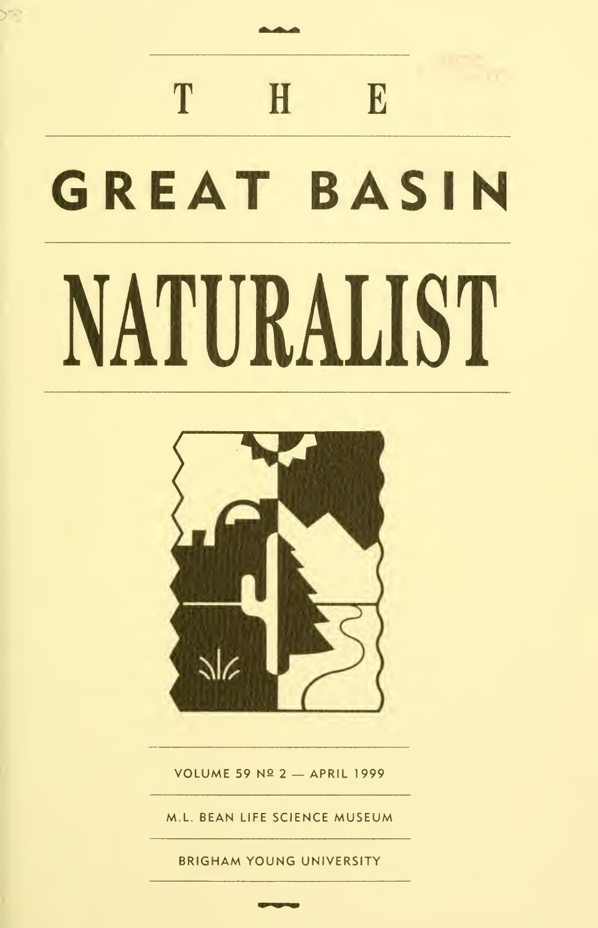# T H E GREAT BASIN NATURALIST

 $\mathcal{P}^{\mathcal{P}}$ 



VOLUME 59 Nº 2 - APRIL 1999

M.L. BEAN LIFE SCIENCE MUSEUM

BRIGHAM YOUNG UNIVERSITY